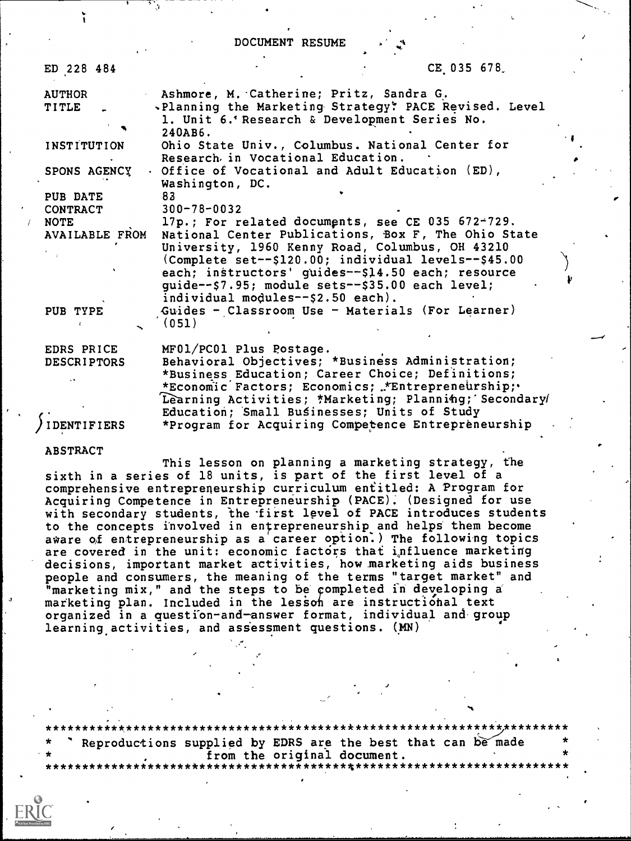DOCUMENT RESUME

a a

| ED 228 484                       | CE 035 678                                                                                                                                                                                                                                   |  |
|----------------------------------|----------------------------------------------------------------------------------------------------------------------------------------------------------------------------------------------------------------------------------------------|--|
| <b>AUTHOR</b><br>TITLE           | Ashmore, M. Catherine; Pritz, Sandra G.<br>.Planning the Marketing Strategy: PACE Revised. Level<br>1. Unit 6.' Research & Development Series No.<br>240AB6.                                                                                 |  |
| INSTITUTION                      | Ohio State Univ., Columbus. National Center for<br>Research in Vocational Education.                                                                                                                                                         |  |
| SPONS AGENCY                     | Office of Vocational and Adult Education (ED),<br>Washington, DC.                                                                                                                                                                            |  |
| PUB DATE                         | 83                                                                                                                                                                                                                                           |  |
| <b>CONTRACT</b>                  | $300 - 78 - 0032$                                                                                                                                                                                                                            |  |
| <b>NOTE</b><br>AVAILABLE FROM    | 17p.; For related documents, see CE 035 672-729.<br>National Center Publications, Box F, The Ohio State<br>University, 1960 Kenny Road, Columbus, OH 43210<br>(Complete set--\$120.00; individual levels--\$45.00)                           |  |
|                                  | each; instructors' guides--\$14.50 each; resource<br>quide--\$7.95; module sets--\$35.00 each level;<br>individual modules--\$2.50 each).                                                                                                    |  |
| PUB TYPE                         | Guides - Classroom Use - Materials (For Learner)<br>(051)                                                                                                                                                                                    |  |
| EDRS PRICE<br><b>DESCRIPTORS</b> | MF01/PC01 Plus Postage.<br>Behavioral Objectives; *Business Administration;<br>*Business Education; Career Choice; Definitions;<br>*Economic Factors; Economics; *Entrepreneurship;<br>Learning Activities; *Marketing; Planning; Secondary/ |  |
| <b>IDENTIFIERS</b>               | Education; Small Businesses; Units of Study<br>*Program for Acquiring Competence Entrepreneurship                                                                                                                                            |  |

#### ABSTRACT

This lesson on planning a marketing strategy, the sixth in a series of 18 units, is part of the first level of a comprehensive entrepreneurship curriculum entitled: A Program for Acquiring Competence in Entrepreneurship (PACE). (Designed for use with secondary students, the first level of PACE introduces students to the concepts involved in entrepreneurship and helps them become aware of entrepreneurship as a career option.) The following topics are covered in the unit: economic factors that influence marketing decisions, important market activities, howmarketing aids business people and consumers, the meaning of the terms "target market" and "marketing mix," and the steps to be completed in developing a marketing plan. Included in the lesson are instructional text organized in a question-and-answer format, individual and group learning activities, and assessment questions. (MN)

\*\*\*\*\*\*\*\*\*\*\*\*\*\*\*\*\*\*\*\*\*\*\*\*\*\*\*\*\*\*\*\*\*\*\*\*\*\*\*\*\*\*\*\*\*\*\*\*\*\*\*\*\*\*\*\*\*\*\*\*\*\*\*\*\*\*\*\*\*\*\* Reproductions supplied by EDRS are the best that can be made from the original document.<br>\*\*\*\*\*\*\*\*\*\*\*\*\*\*\*\*\*\*\*\*\*\*\*\*\*\*\*\*\* \*\*\*\*\*\*\*\*\*\*\*\*\*\*\*\*\*\*\*\*\*\*\*\*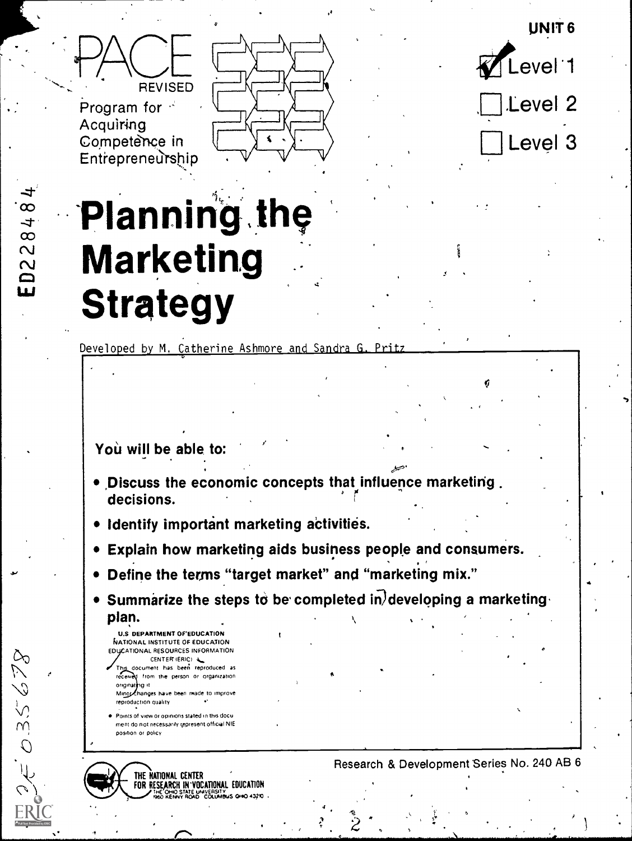UNIT 6

Level 1

evel 2

Level 3



Program for  $\leq$ Acquiring Competence in Entrepreneurship



14 and 16 and 16

# **companies** Planning the **Example 1**<br>The Marketing Strategy

Developed by M. Catherine Ashmore and Sandra G. Pritz

Yoù will be able to:

- Discuss the economic concepts that influence marketing. decisions.
- . Identify important marketing activities.
- Explain how marketing aids busihess people and consumers.
- t Define the terms "target market" and "marketing mix."
- Summarize the steps to be completed in developing a marketing plan.
	- U.S DEPARTMENT OF EDUCATION NATIONAL INSTITUTE OF EDUCATION FOUCATIONAL RESOURCES INFORMATION<br>The document has been reproduced as<br>formed that the been reproduced as CENTER' (ERIC) & document has been reproduced as received from the person or organization
	- originath*g* it Mino Changes have been made to improve reproduction quality

035678

**Points of view or opinions stated in this docu** went do not necessarily represent offictaI NIE position or policy



## <sup>4</sup> Research & Development Series No. 240 AB 6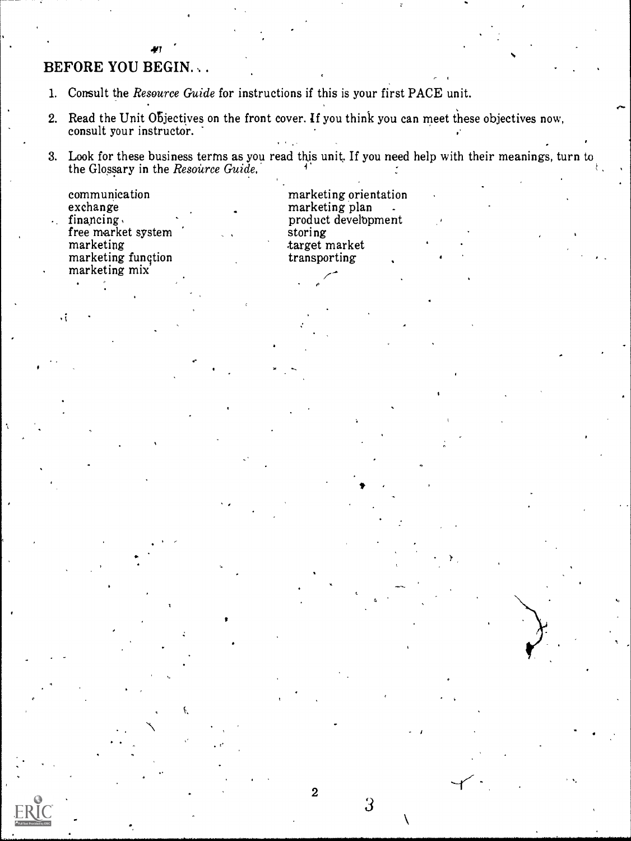# BEFORE YOU BEGIN...

- 1. Consult the Resource Guide for instructions if this is your first PACE unit.
- , 2. Read the Unit Objectives on the front cover. If you think you can meet these objectives now, consult your instructor.
- 3. Look for these business terms as you read this unit. If you need help with their meanings, turn to  $\qquad \qquad \mid$ the Glossary in the  $Resource$   $Guide,$

..

| communication<br>exchange | $\bullet$ | marketing orientation<br>marketing plan |  |
|---------------------------|-----------|-----------------------------------------|--|
| financing.                |           | product development                     |  |
| free market system        |           | storing                                 |  |
| marketing                 |           | target market                           |  |
| marketing function        |           | transporting                            |  |
| marketing mix             |           |                                         |  |

 $\bullet^{\prime\prime}$ 

 $\begin{pmatrix} 1 & 0 \\ 0 & 0 \end{pmatrix}$ 

.  $\mathcal{C}$  ,  $\mathcal{C}$ 

<sup>2</sup>  $\frac{3}{2}$ 

 $\mathbf{r}$  the state  $\mathbf{r}$ 

 $I = \{1, 2, \ldots \}$ 

 $\sqrt{2}$ 

**B** and

..

..

,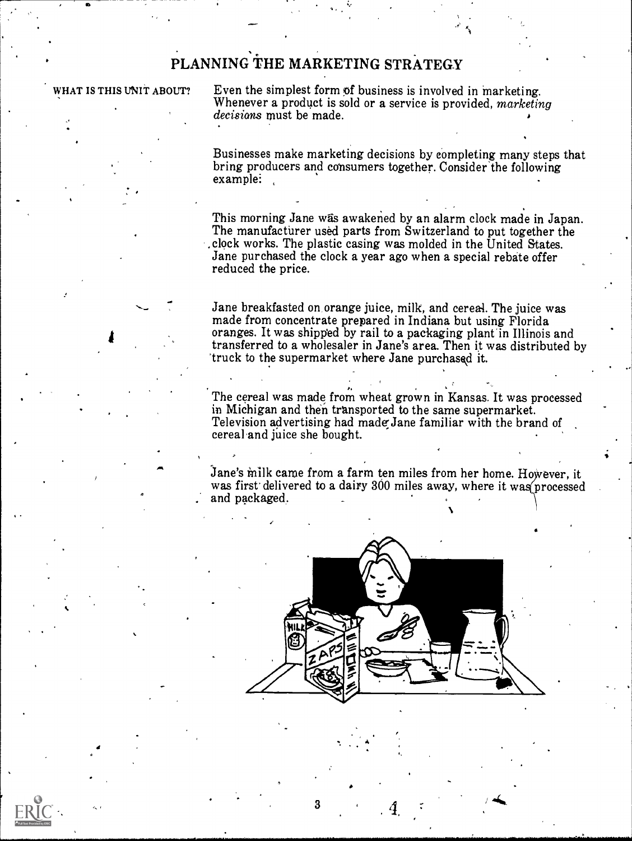# PLANNING THE MARKETING STRATEGY

## WHAT IS THIS UNIT ABOUT?

4

ae.

Even the simplest form of business is involved in marketing. Whenever a product is sold or a service is provided, marketing decisions must be made.

Businesses make marketing decisions by completing many steps that bring producers and consumers together. Consider the following example:

This morning Jane was awakened by an alarm clock made in Japan. The manufacturer used parts from Switzerland to put together the ,clock works. The plastic casing was molded in the United States. Jane purchased the clock a year ago when a special rebate offer reduced the price.

Jane breakfasted on orange juice, milk, and cereal. The juice was made from concentrate prepared in Indiana but using Florida oranges. It was shipped by rail to a packaging plant in Illinois and transferred to a wholesaler in Jane's area. Then it was distributed by truck to the supermarket where Jane purchased it.

The cereal was made from wheat grown in Kansas. It was processed in Michigan and then transported to the same supermarket. Television advertising had made:Jane familiar with the brand of cereal and juice she bought.

Jane's milk came from a farm ten miles from her home. However, it was first delivered to a dairy 300 miles away, where it was processed and packaged.



3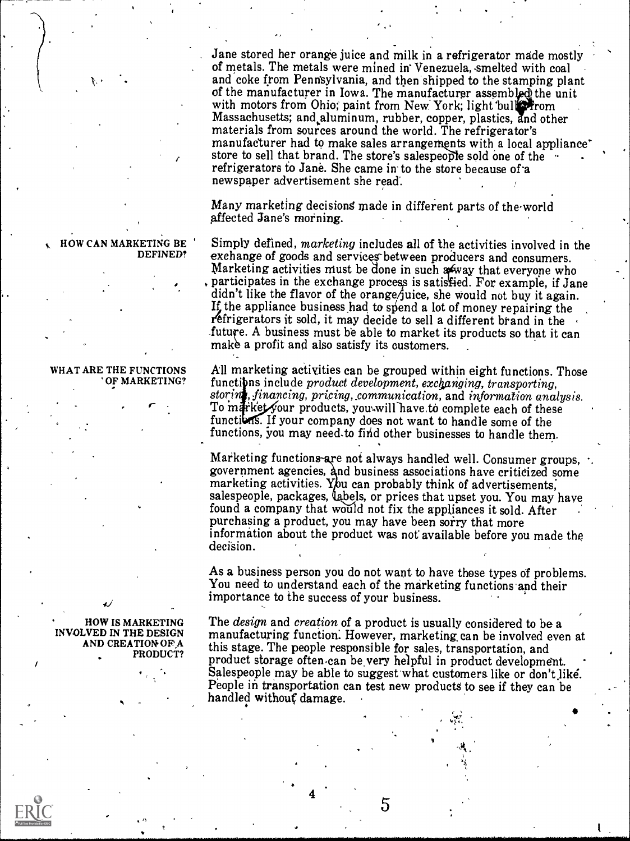Jane stored her orange juice and milk in a refrigerator made mostl of metals. The metals were mined in Venezuela, smelted with coal<br>and coke from Pennsylvania, and then shipped to the stamping plant of the manufacturer in Iowa. The manufacturer assembled the unit with motors from Ohio; paint from New York; light bull From Massachusetts; and aluminum, rubber, copper, plastics, and other materials from sources around the world. The refrigerator's manufacturer had to make sales arrangements with a local appliance' store to sell that brand. The store's salespeople sold one of the  $\cdot$ refrigerators to Jane. She came in to the store because of a newspaper advertisement she read.

Many marketing decisions made in different parts of the world affected Jane's morning.

Simply defined, marketing includes all of the activities involved in the exchange of goods and services between producers and consumers. Marketing activities must be done in such away that everyone who , participates in the exchange process is satisfied. For example, if Jane didn't like the flavor of the orange juice, she would not buy it again.<br>If the appliance business had to spend a lot of money repairing the refrigerators it sold, it may decide to sell a different brand in the future. A business must be able to market its products so that it can make a profit and also satisfy its customers.

WHAT ARE THE FUNCTIONS All marketing activities can be grouped within eight functions.<br>
<sup>"</sup>OF MARKETING? functions include *product development, exchanging, transporting*, All marketing activities can be grouped within eight functions. Those storing, financing, pricing, communication, and information analysis.<br>To market your products, you will have to complete each of these functions. If your company does not want to handle some of the functions, you may need.to find other businesses to handle them.

> Marketing functions-are not always handled well. Consumer groups, government agencies, and business associations have criticized some marketing activities. You can probably think of advertisements. salespeople, packages, labels, or prices that upset you. You may have found a company that would not fix the appliances it sold. After purchasing a product, you may have been sorry that more information about the product was not' available before you made the decision.

> As a business person you do not want to have those types of problems. You need to understand each of the marketing functions and their importance to the success of your business.

> The *design* and *creation* of a product is usually considered to be a manufacturing function: However, marketing. can be involved even at this stage. The people responsible for sales, transportation, and product storage often can be very helpful in product development. Salespeople may be able to suggest what customers like or don't like. People in transportation can test new products to see if they can be handled without damage.

> > 5

HOW CAN MARKETING BE DEFINED?

' OF MARKETING?

HOW IS MARKETING INVOLVED IN THE DESIGN AND CREATION OF A PRODUCT?

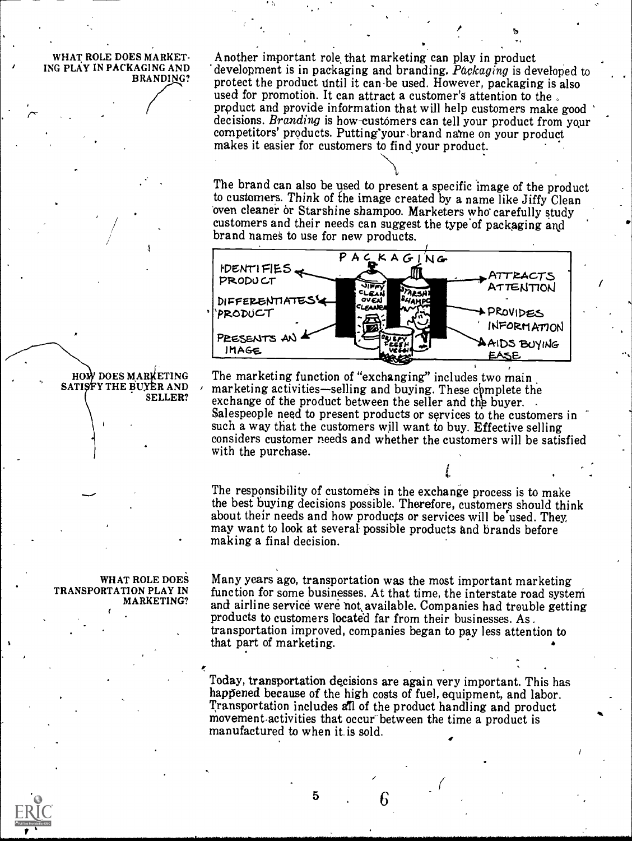WHAT ROLE DOES MARKET-ING PLAY IN PACKAGING AND BRANDING?

 $\sigma$  is a set of  $\sigma$ 

Another important role that marketing can play in product development is in packaging and branding. Packaging is developed to protect the product until it can be used. However, packaging is also used for promotion. It can attract a customer's attention to the. prpduct and provide information that will help customers make good decisions. *Branding* is how-customers can tell your product from your competitors' products. Putting'your brand name on your product makes it easier for customers to find your product.

The brand can also be used to present a specific image of the product to customers. Think of the image created by a name like Jiffy Clean oven cleaner or Starshine shampoo. Marketers who carefully study customers and their needs can suggest the type of packaging and brand names to use for new products.



SELLER? exchange of the product between the seller and the buyer. The marketing function of "exchanging" includes two main marketing activities—selling and buying. These complete the Salespeople need to present products or services to the customers in such a way that the customers will want to buy. Effective selling considers customer needs and whether the customers will be satisfied with the purchase.

> The responsibility of customers in the exchange process is to make the best buying decisions possible. Therefore, customers should think about their needs and how products or services will be used. They, may want to look at several possible products and brands before making a final decision.

WHAT ROLE DOES TRANSPORTATION PLAY IN MARKETING?

HOW DOES MARKETING SATISTY THE BUYER AND

> Many years ago, transportation was the most important marketing function for some businesses. At that time, the interstate road system and airline service were nokavailable. Companies had trouble getting products to customers locate'd far from their businesses. As. transportation improved, companies began to pay less attention to that part of marketing.

Today, transportation decisions are again very important. This has happened because of the high costs of fuel, equipment, and labor. Transportation includes all of the product handling and product movement.activities that occur between the time a product is manufactured to when it is sold.

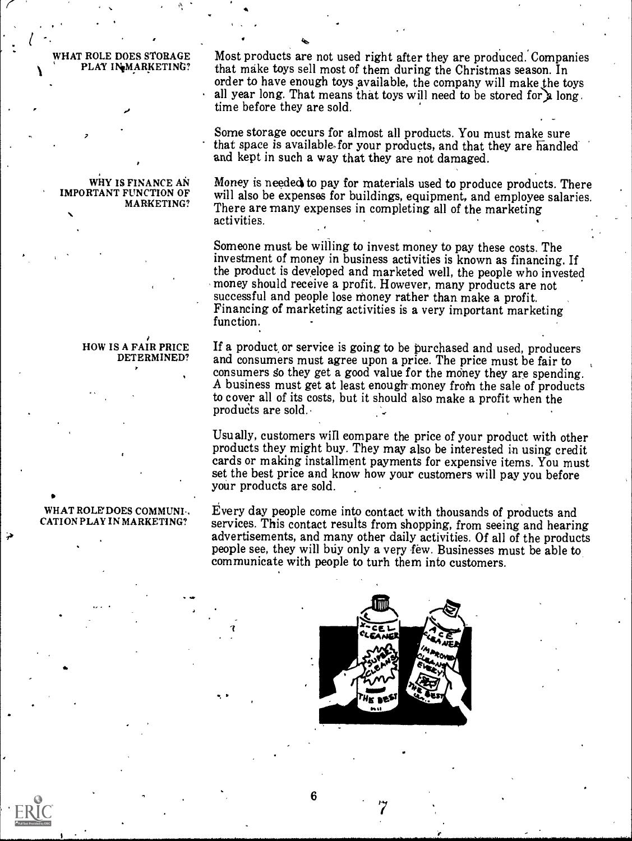## WHAT ROLE DOES STORAGE PLAY INMARKETING?

-,

 $\mathbf{r}$ 

.

,

 $\tau$  and  $\tau$ 

6

 $\bullet$ 

. .  $1 \qquad \qquad$ 

#### WHY IS FINANCE AN IMPORTANT FUNCTION OF MARKETING? .

7

### <sup>e</sup> HOW IS A FAIR PRICE DETERMINED?

#### 1. WHAT ROLE' DOES COMMUNI. CATION PLAY IN MARKETING?

..

Most products are not used right after they are produced. Companies that make toys sell most of them during the Christmas season. In order to have enough toys available, the company will make the toys all year long. That means that toys will need to be stored for a long, time before they are sold.

Some storage occurs for almost all products. You must make sure that space is available for your products, and that they are handled and kept in such a way that they are not damaged.

Money is needed to pay for materials used to produce products. There will also be expenses for buildings, equipment, and employee salaries. There are many expenses in completing all of the marketing activities. .

Someone must be willing to invest money to pay these costs. The investment of money in business activities is known as financing. If the product is developed and marketed well, the people who invested money should receive a profit. However, many products are not successful and people lose money rather than make a profit. Financing of marketing activities is a very important marketing function.

If a product, or service is going to be purchased and used, producers and consumers must agree upon a price. The price must be fair to consumers so they get a good value for the money they are spending. A business must get at least enough money from the sale of products to cover all of its costs, but it should also make a profit when the products are sold.

Usually, customers will compare the price of your product with other products they might buy. They may also be interested in using credit cards or making installment payments for expensive items. You must set the best price and know how your customers will pay you before your products are sold.

Every day people come into contact with thousands of products and services. This contact results from shopping, from seeing and hearing advertisements, and many other daily activities. Of all of the products people see, they will buy only a very few. Businesses must be able to communicate with people to turh them into customers.

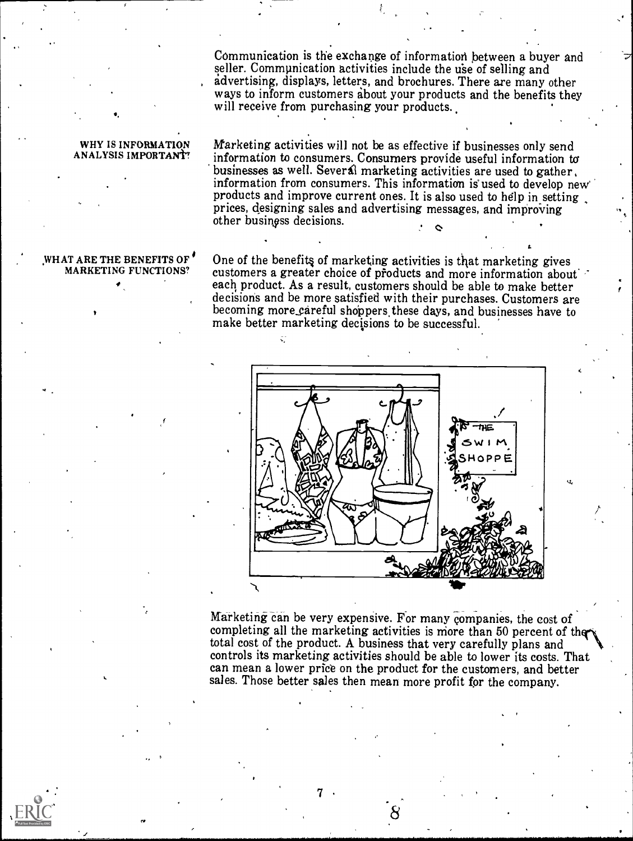Communication is the exchange of information between a buyer and seller. Communication activities include the use of selling and advertising, displays, letters, and brochures. There are many other ways to inform customers about your products and the benefits they will receive from purchasing your products.

#### WHY IS INFORMATION ANALYSIS IMPORTANT!

WHAT ARE THE BENEFITS OF MARKETING FUNCTIONS?

Marketing activities will not be as effective if businesses only send information to consumers. Consumers provide useful information to businesses as well. Several marketing activities are used to gather. information from consumers. This information is used to develop new' products and improve current ones. It is also used to help in setting prices, designing sales and advertising messages, and improving other business decisions.

One of the benefit§ of marketing activities is that marketing gives customers a greater choice of products and more information about each, product. As a result, customers should be able to make better decisions and be more satisfied with their purchases. Customers are becoming more careful shoppers these days, and businesses have to make better marketing decisions to be successful.

ζĆ



Marketing can be very expensive. For many companies, the cost of completing all the marketing activities is more than 50 percent of the total cost of the product. A business that very carefully plans and controls its marketing activities should be able to lower its costs. That can mean a lower price on the product for the customers, and better sales. Those better sales then mean more profit for the company.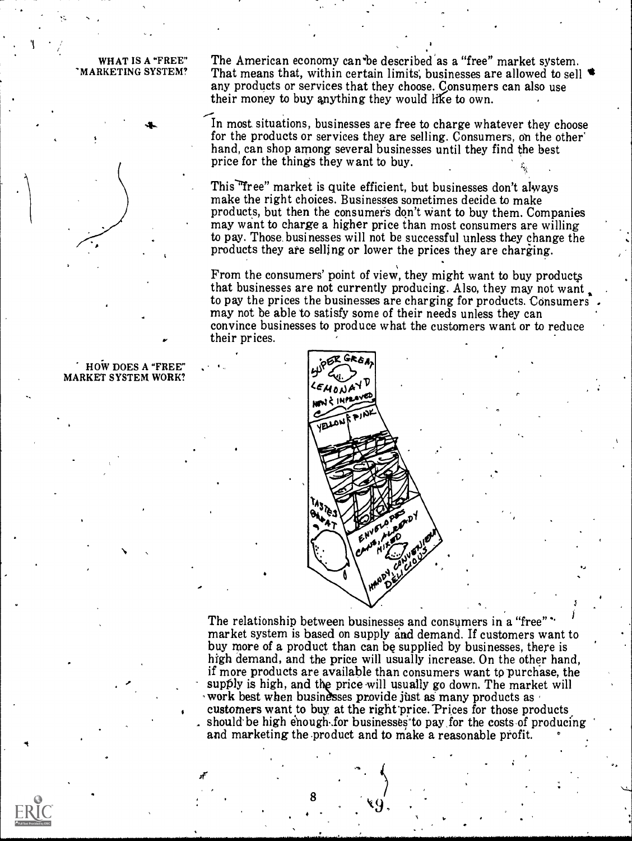WHAT IS A "FREE" 'MARKETING SYSTEM? The American economy can be described as a "free" market system. That means that, within certain limits, businesses are allowed to sell  $\bullet$ any products or services that they choose. Consumers can also use their money to buy anything they would like to own.

In most situations, businesses are free to charge whatever they choose for the products or services they are selling. Consumers, on the other' hand, can shop among several businesses until they find the best price for the things they want to buy.

This "free" market is quite efficient, but businesses don't always make the right choices. Businesses sometimes decide. to make products, but then the consumers don't Want to buy them. Companies may want to charge a higher price than most consumers are willing to pay. Those, businesses will not be successful unless they change the products they are selling or lower the prices they are charging.

From the consumers' point of view, they might want to buy products that businesses are not currently producing. Also, they may not want to pay the prices the businesses are charging for products. Consumers<br>may not be able to satisfy some of their needs unless they can convince businesses to produce what the customers want or to reduce their prices.



The relationship between businesses and consumers in a "free"' market system is based on supply sad demand. If customers want to buy more of a product than can be supplied by businesses, there is high demand, and the price will usually increase. On the other hand, if more products are available than consumers want to purchase, the supply is high, and the price will usually go down. The market will work best when businesses provide just as many products as customers want to buy at the right price. Prices for those products should be high enough-for businesses to pay for the costs of producing and marketing the product and to make a reasonable profit.

HOW DOES A "FREE" MARKET SYSTEM WORK?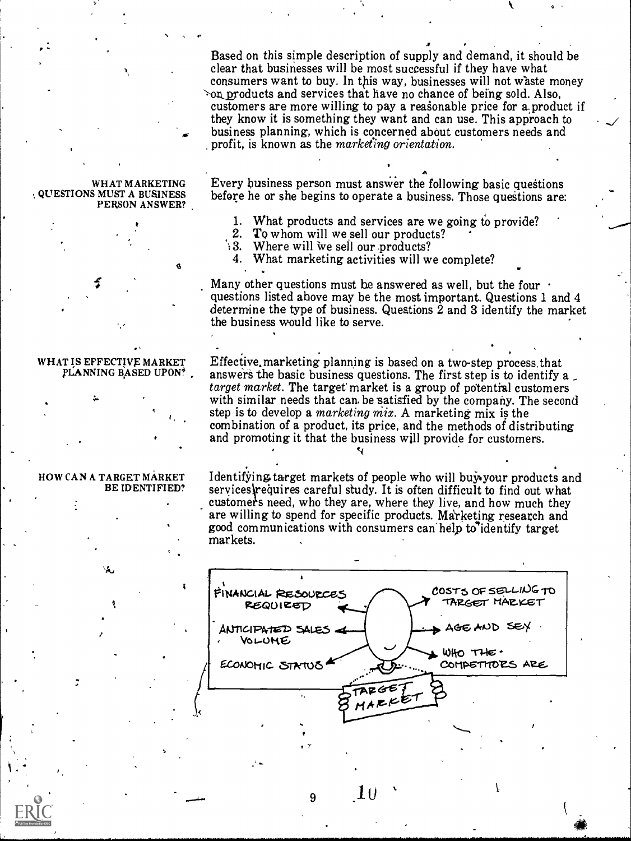Based on this simple description of supply and demand, it should be clear that businesses will be most successful if they have what consumers want to buy. In this way, businesses will not waste money  $\infty$  products and services that have no chance of being sold. Also, customers are more willing to pay a reasonable price for a product if they know it is something they want and can use. This approach to . business planning, which is concerned about customers needs and profit, is known as the marketing orientation.

#### WHAT MARKETING ., QUESTIONS MUST A BUSINESS PERSON ANSWER?

 $\mathbf{P}$  10  $\mathbf{P}$  10  $\mathbf{P}$  10  $\mathbf{P}$ 

 $\sqrt{2}$ 



WHAT IS EFFECTIVE MARKET pLANNING BASED UPON?

HOW CAN A TARGET MARKET

/

-  $\mathcal{I}$ 

BE IDENTIFIED?

.......1.6.

 $\mathbf{A}^{\dagger}$ Every business person must answer the following basic questions before he or she begins to operate a business. Those questions are:

 $\ddot{\phantom{0}}$ 

1. What products and services are we going to provide?

- 2. To whom will we sell our products?
- : 3. Where will we sell our products?

4. What marketing activities will we complete?

Many other questions must be answered as well, but the four  $\cdot$ questions listed above may be the most important. Questions 1 and 4 determine the type of business. Questions  $\hat{2}$  and  $3$  identify the market the business would like to serve.

Effective,marketing planning is based on a two-step process,that answers the basic business questions. The first step is to identify a  $_t$  target market. The target market is a group of potential customers with similar needs that can. be satisfied by the company. The second step is to develop a *marketing mix*. A marketing mix is the combination of a product, its price, and the methods of distributing and promoting it that the business will provide for customers.  $\epsilon$ 

Identifying target markets of people who will buy your products and services requires careful study. It is often difficult to find out what customer's need, who they are, where they live, and how much they are willing to spend for specific products. Ma'rketing research and good communications with consumers can help to identify target markets.



9  $10<sup>1</sup>$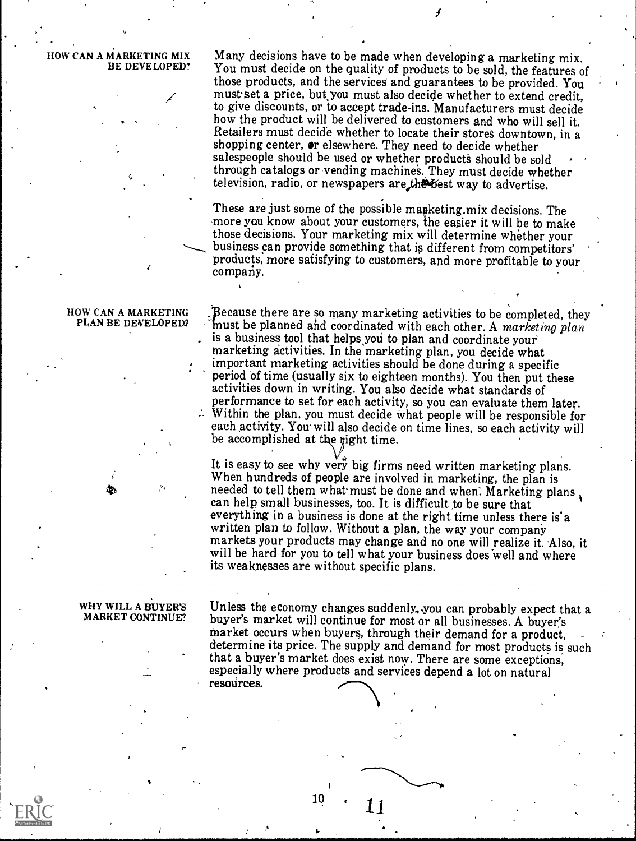HOW CAN A MARKETING MIX Many decisions have to be made when developing a marketing mix. BE DEVELOPED? You must decide on the quality of products to be sold, the features of those products, and the services and guarantees to be provided. You must'set a price, bukyou must also decide whether to extend credit, to give discounts, or to accept trade-ins. Manufacturers must decide how the product will be delivered to customers and who will sell it. Retailers must decide whether to locate their stores downtown, in a shopping center,  $\bullet$ r elsewhere. They need to decide whether salespeople should be used or whether products should be sold through catalogs or.vending machines. They must decide whether television, radio, or newspapers are the best way to advertise.

> These are just some of the possible manketing, mix decisions. The more you know about your customers, the easier it will be to make those decisions. Your marketing mix will determine whether your business can provide something that is different from competitors' products, more satisfying to customers, and more profitable to your company.

#### HOW CAN A MARKETING PLAN BE DEVELOPED2

A Because there are so many marketing activities to be completed, they must be planned and coordinated with each other. A marketing plan is a business tool that helps you to plan and coordinate your marketing activities. In the marketing plan, you decide what important marketing activities should be done during a specific period of time (usually six to eighteen months). You then put these activities down in writing. You also decide what standards of performance to set for each activity, so you can evaluate them later.<br>Within the plan, you must decide what people will be responsible for each activity. You will also decide on time lines, so each activity will be accomplished at the right time.

It is easy to see why very big firms need written marketing plans. When hundreds of people are involved in marketing, the plan is needed to tell them what must be done and when. Marketing plans, can help small businesses, too. It is difficult to be sure that<br>everything in a business is done at the right time unless there is a written plan to follow. Without a plan, the way your company markets your products may change and no one will realize it. Also, it will be hard for you to tell what your business does well and where its weaknesses are without specific plans.

# WHY WILL A BUYER'S

MARKET CONTINUE? buyer's market will continue for most or all businesses. A buyer's Unless the economy changes suddenly, you can probably expect that a buyer's market will continue for most or all businesses. A buyer's market occurs when buyers, through their demand for a product, determine its price. The supply and demand for most products is such that a buyer's market does exist now. There are some exceptions, especially where products and services depend a lot on natural resources.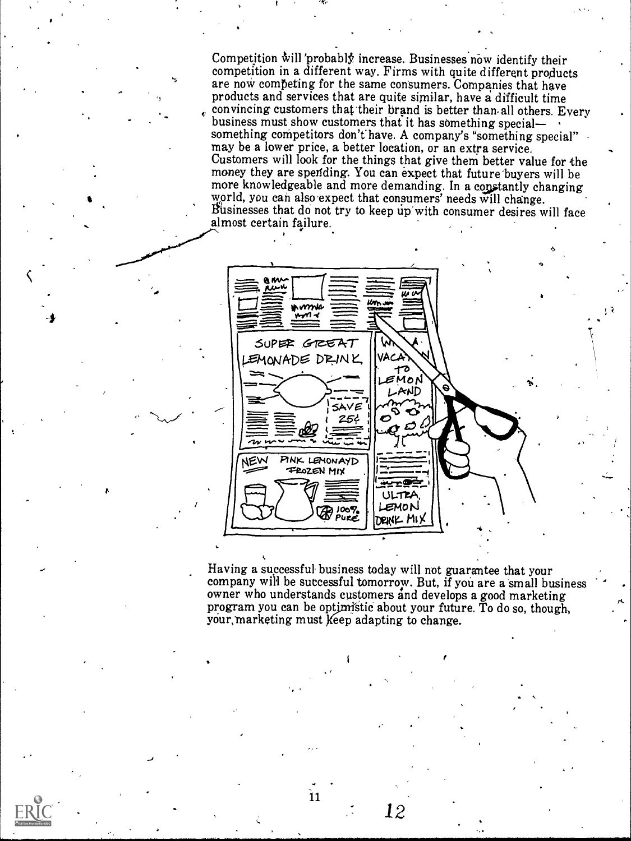Competition will 'probably increase. Businesses now identify their competition in a different way. Firms with quite different products are now competing for the same consumers. Companies that have products and services that are quite similar, have a difficult time convincing customers that their brand is better than all others. Every business must show customers that it has something specialsomething competitors don't have. A company's "something special" may be a lower price, a better location, or an extra service. Customers will look for the things that give them better value for the money they are spending. You can expect that future'buyers will be more knowledgeable and more demanding. In a constantly changing world, you can also expect that consumers' needs will change. Businesses that do not try to keep up'with consumer desires will face. almost certain failure.

6

 $\sqrt{2}$ 



Having a successful business today will not guarantee that your company will be successful tomorrow. But, if you are a small business owner who understands customers and develops a good marketing program you can be optimistic about your future. To do so, though, your, marketing must keep adapting to change.

12

 $\overline{11}$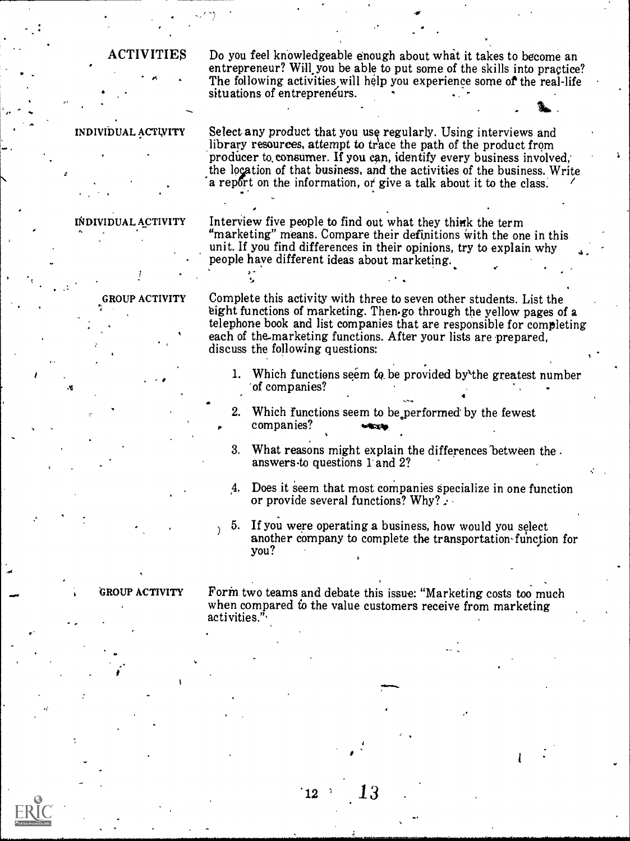ACTIVITIES Do you feel knowledgeable enough about whit it takes to become an entrepreneur? Will you be able to put some of the skills into practice? The following activities will help you experience some of the real-life situations of entrepreneurs.

INDIVIDUAL ACTIVITY

INDIVIDUAL ACTIVITY Select any product that you use regularly. Using interviews and library resources, attempt to trace the path of the product from producer to consumer. If you can, identify every business involved, the location of that business, and the activities of the business. Write a report on the information, or give a talk about it to the class.

> Interview five people to find out what they think the term "marketing" means. Compare their definitions with the one in this unit. If you find differences in their opinions, try to explain why people have different ideas about marketing.

GROUP ACTIVITY Complete this activity with three to seven other students. List the eight functions of marketing. Then go through the yellow pages of a telephone book and list companies that are responsible for completing each of the.marketing functions. After your lists are prepared, discuss the following questions:

- 1. Which functions seem to be provided by the greatest number 'of companies?
- 2. Which functions seem to be performed by the fewest companies?
- 3. What reasons might explain the differences'between the . answers.to questions l' and 2?
- 4. Does it Seem that most companies specialize in one function or provide several functions? Why? $\therefore$
- 5. If you were operating a business, how would you select another company to complete the transportation-function for you?

1

GROUP ACTIVITY Form two teams and debate this issue: "Marketing costs too much when compared to the value customers receive from marketing activities."

13

ໍ12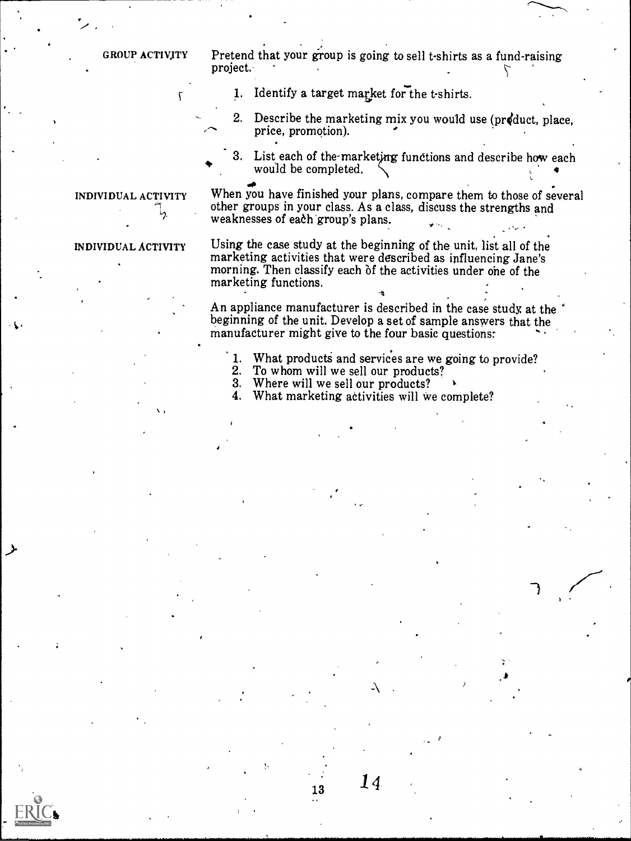GROUP ACTIVITY

**V** V V V V V

Pretend that your group is going to sell t-shirts as a fund-raising project.

- 1. Identify a target market for the t-shirts.
- 2. Describe the marketing mix you would use (pr4duct, place, price, promotion).

3. List each of the-marketing functions and describe how each would be completed.

## INDIVIDUAL ACTIVITY L,

When you have finished your plans, compare them to those of several other groups in your class. As a class, discuss the strengths and weaknesses of each group's plans.

## INDIVIDUAL ACTIVITY

Using the case study at the beginning of the unit, list all of the marketing activities that were described as influencing Jane's morning. Then classify each of the activities under one of the marketing functions.

An appliance manufacturer is described in the case study, at the beginning of the unit. Develop a set of sample answers that the manufacturer might give to the four basic questions:

13 M

- 1. What products and services are we going to provide?<br>2. To whom will we sell our products?
- 2. To whom will we sell our products?<br>3. Where will we sell our products?
- 3. Where will we sell our products?<br>4. What marketing activities will we

What marketing activities will we complete?

 $14$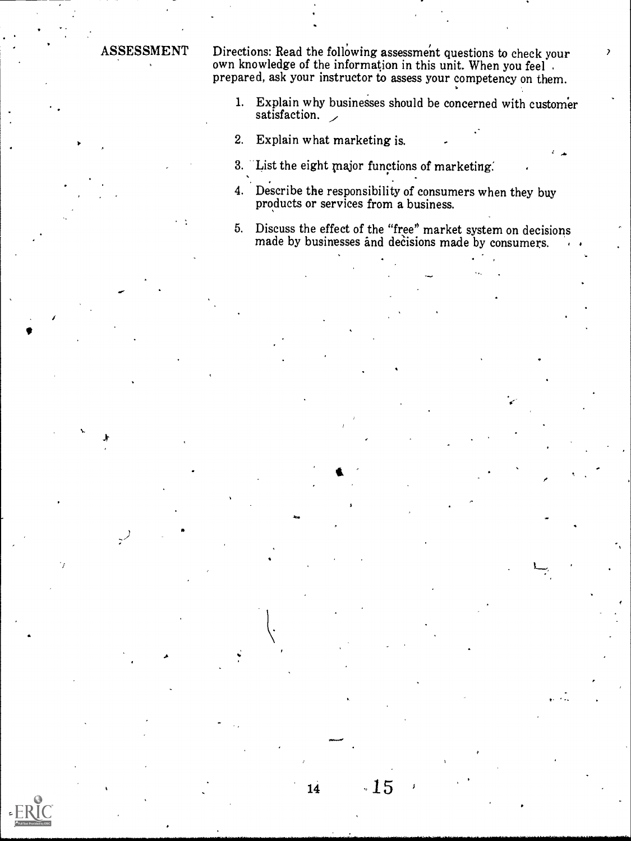we

ASSESSMENT Directions: Read the following assessment questions to check your own knowledge of the information in this unit. When you feel . prepared, ask your instructor to assess your competency on them.

- 1. Explain why businesses should be concerned with customer satisfaction.
- 2. Explain what marketing is.
- 3. List the eight major functions of marketing.
- 4. Describe the responsibility of consumers when they buy products or services from a business.
- 5. Discuss the effect of the "free' market system on decisions made by businesses and decisions made by consumers.

 $.15$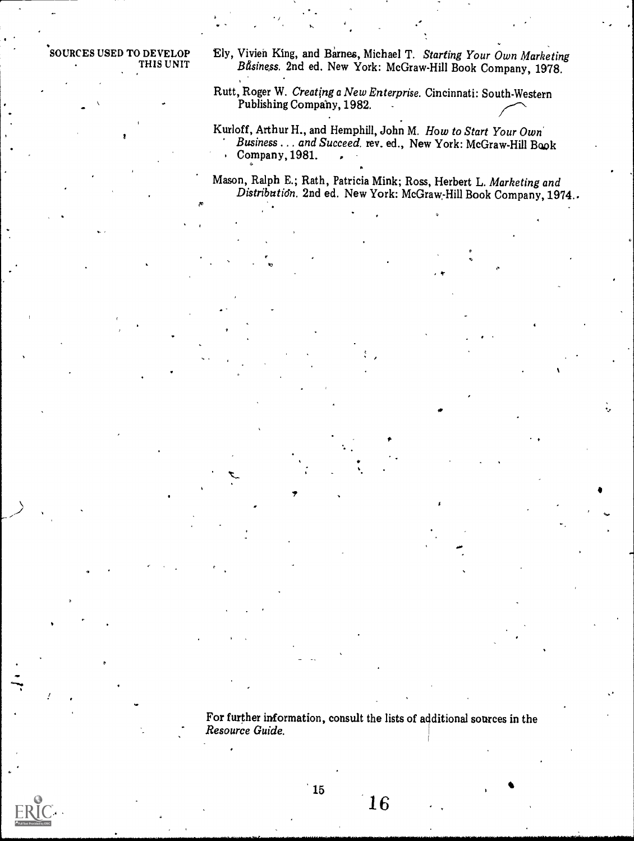SOURCES USED TO DEVELOP THIS UNIT

- Ely, Vivien King, and Barnes, Michael T. Starting Your Own Marketing Bfisiness. 2nd ed. New York: McGraw-Hill Book Company, 1978.
- Rutt, Roger W. Creating a New Enterprise. Cincinnati: South-Western Publishing Company, 1982.

/

- Kurloff, Arthur H., and Hemphill, John M. How to Start Your Own Business . . . and Succeed, rev. ed., New York: McGraw-Hill Baok Company, 1981.
- Mason, Ralph E.; Rath, Patricia Mink; Ross, Herbert L. Marketing and Distributidn. 2nd ed. New York: McGraw-Hill Book Company, 1974..

 $\mathbf{r}$ 

For further information, consult the lists of additional sources in the Resource Guide.